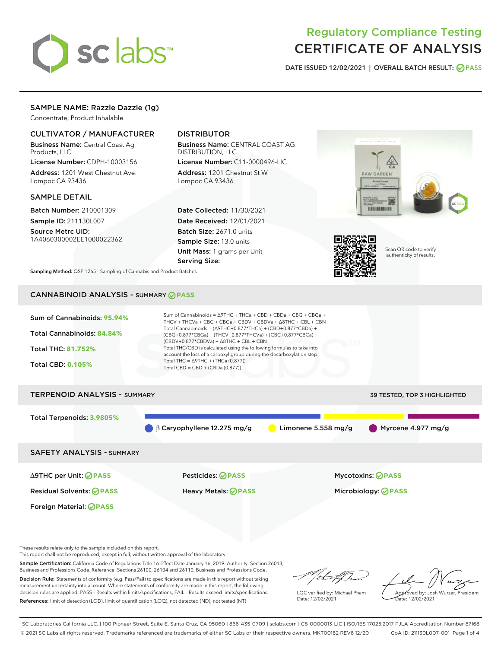

# Regulatory Compliance Testing CERTIFICATE OF ANALYSIS

DATE ISSUED 12/02/2021 | OVERALL BATCH RESULT: @ PASS

# SAMPLE NAME: Razzle Dazzle (1g)

Concentrate, Product Inhalable

# CULTIVATOR / MANUFACTURER

Business Name: Central Coast Ag Products, LLC

License Number: CDPH-10003156 Address: 1201 West Chestnut Ave. Lompoc CA 93436

#### SAMPLE DETAIL

Batch Number: 210001309 Sample ID: 211130L007

Source Metrc UID: 1A4060300002EE1000022362

# DISTRIBUTOR

Business Name: CENTRAL COAST AG DISTRIBUTION, LLC

License Number: C11-0000496-LIC Address: 1201 Chestnut St W Lompoc CA 93436

Date Collected: 11/30/2021 Date Received: 12/01/2021 Batch Size: 2671.0 units Sample Size: 13.0 units Unit Mass: 1 grams per Unit Serving Size:





Scan QR code to verify authenticity of results.

Sampling Method: QSP 1265 - Sampling of Cannabis and Product Batches

# CANNABINOID ANALYSIS - SUMMARY **PASS**



# Total Terpenoids: **3.9805%**  $\beta$  β Caryophyllene 12.275 mg/g  $\qquad \qquad$  Limonene 5.558 mg/g  $\qquad \qquad$  Myrcene 4.977 mg/g SAFETY ANALYSIS - SUMMARY

∆9THC per Unit: **PASS** Pesticides: **PASS** Mycotoxins: **PASS**

Foreign Material: **PASS**

Residual Solvents: **PASS** Heavy Metals: **PASS** Microbiology: **PASS**

These results relate only to the sample included on this report.

This report shall not be reproduced, except in full, without written approval of the laboratory.

Sample Certification: California Code of Regulations Title 16 Effect Date January 16, 2019. Authority: Section 26013, Business and Professions Code. Reference: Sections 26100, 26104 and 26110, Business and Professions Code. Decision Rule: Statements of conformity (e.g. Pass/Fail) to specifications are made in this report without taking

measurement uncertainty into account. Where statements of conformity are made in this report, the following decision rules are applied: PASS – Results within limits/specifications, FAIL – Results exceed limits/specifications. References: limit of detection (LOD), limit of quantification (LOQ), not detected (ND), not tested (NT)

that f h

LQC verified by: Michael Pham Date: 12/02/2021

Approved by: Josh Wurzer, President ate: 12/02/2021

SC Laboratories California LLC. | 100 Pioneer Street, Suite E, Santa Cruz, CA 95060 | 866-435-0709 | sclabs.com | C8-0000013-LIC | ISO/IES 17025:2017 PJLA Accreditation Number 87168 © 2021 SC Labs all rights reserved. Trademarks referenced are trademarks of either SC Labs or their respective owners. MKT00162 REV6 12/20 CoA ID: 211130L007-001 Page 1 of 4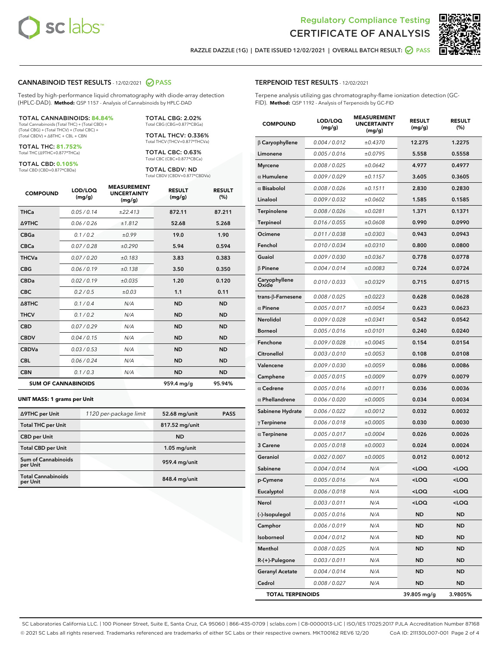



RAZZLE DAZZLE (1G) | DATE ISSUED 12/02/2021 | OVERALL BATCH RESULT: @ PASS

#### CANNABINOID TEST RESULTS - 12/02/2021 2 PASS

Tested by high-performance liquid chromatography with diode-array detection (HPLC-DAD). **Method:** QSP 1157 - Analysis of Cannabinoids by HPLC-DAD

#### TOTAL CANNABINOIDS: **84.84%**

Total Cannabinoids (Total THC) + (Total CBD) + (Total CBG) + (Total THCV) + (Total CBC) + (Total CBDV) + ∆8THC + CBL + CBN

TOTAL THC: **81.752%** Total THC (∆9THC+0.877\*THCa)

TOTAL CBD: **0.105%**

Total CBD (CBD+0.877\*CBDa)

TOTAL CBG: 2.02% Total CBG (CBG+0.877\*CBGa)

TOTAL THCV: 0.336% Total THCV (THCV+0.877\*THCVa)

TOTAL CBC: 0.63% Total CBC (CBC+0.877\*CBCa)

TOTAL CBDV: ND Total CBDV (CBDV+0.877\*CBDVa)

| <b>COMPOUND</b>  | LOD/LOQ<br>(mg/g)          | <b>MEASUREMENT</b><br><b>UNCERTAINTY</b><br>(mg/g) | <b>RESULT</b><br>(mg/g) | <b>RESULT</b><br>(%) |
|------------------|----------------------------|----------------------------------------------------|-------------------------|----------------------|
| <b>THCa</b>      | 0.05/0.14                  | ±22.413                                            | 872.11                  | 87.211               |
| <b>A9THC</b>     | 0.06 / 0.26                | ±1.812                                             | 52.68                   | 5.268                |
| <b>CBGa</b>      | 0.1/0.2                    | ±0.99                                              | 19.0                    | 1.90                 |
| <b>CBCa</b>      | 0.07/0.28                  | ±0.290                                             | 5.94                    | 0.594                |
| <b>THCVa</b>     | 0.07 / 0.20                | ±0.183                                             | 3.83                    | 0.383                |
| <b>CBG</b>       | 0.06/0.19                  | ±0.138                                             | 3.50                    | 0.350                |
| <b>CBDa</b>      | 0.02/0.19                  | ±0.035                                             | 1.20                    | 0.120                |
| <b>CBC</b>       | 0.2 / 0.5                  | ±0.03                                              | 1.1                     | 0.11                 |
| $\triangle$ 8THC | 0.1 / 0.4                  | N/A                                                | <b>ND</b>               | <b>ND</b>            |
| <b>THCV</b>      | 0.1 / 0.2                  | N/A                                                | <b>ND</b>               | <b>ND</b>            |
| <b>CBD</b>       | 0.07/0.29                  | N/A                                                | <b>ND</b>               | <b>ND</b>            |
| <b>CBDV</b>      | 0.04 / 0.15                | N/A                                                | <b>ND</b>               | <b>ND</b>            |
| <b>CBDVa</b>     | 0.03 / 0.53                | N/A                                                | <b>ND</b>               | <b>ND</b>            |
| <b>CBL</b>       | 0.06 / 0.24                | N/A                                                | <b>ND</b>               | <b>ND</b>            |
| <b>CBN</b>       | 0.1 / 0.3                  | N/A                                                | <b>ND</b>               | <b>ND</b>            |
|                  | <b>SUM OF CANNABINOIDS</b> |                                                    | 959.4 mg/g              | 95.94%               |

#### **UNIT MASS: 1 grams per Unit**

| ∆9THC per Unit                        | 1120 per-package limit | 52.68 mg/unit  | <b>PASS</b> |
|---------------------------------------|------------------------|----------------|-------------|
| <b>Total THC per Unit</b>             |                        | 817.52 mg/unit |             |
| <b>CBD</b> per Unit                   |                        | <b>ND</b>      |             |
| <b>Total CBD per Unit</b>             |                        | $1.05$ mg/unit |             |
| Sum of Cannabinoids<br>per Unit       |                        | 959.4 mg/unit  |             |
| <b>Total Cannabinoids</b><br>per Unit |                        | 848.4 mg/unit  |             |

| <b>COMPOUND</b>        | LOD/LOQ<br>(mg/g) | EASUREIVI<br><b>UNCERTAINTY</b><br>(mg/g) | <b>RESULT</b><br>(mg/g)                         | <b>RESULT</b><br>(%) |
|------------------------|-------------------|-------------------------------------------|-------------------------------------------------|----------------------|
| $\beta$ Caryophyllene  | 0.004 / 0.012     | ±0.4370                                   | 12.275                                          | 1.2275               |
| Limonene               | 0.005 / 0.016     | ±0.0795                                   | 5.558                                           | 0.5558               |
| <b>Myrcene</b>         | 0.008 / 0.025     | ±0.0642                                   | 4.977                                           | 0.4977               |
| $\alpha$ Humulene      | 0.009/0.029       | ±0.1157                                   | 3.605                                           | 0.3605               |
| $\alpha$ Bisabolol     | 0.008 / 0.026     | ±0.1511                                   | 2.830                                           | 0.2830               |
| Linalool               | 0.009 / 0.032     | ±0.0602                                   | 1.585                                           | 0.1585               |
| Terpinolene            | 0.008 / 0.026     | ±0.0281                                   | 1.371                                           | 0.1371               |
| Terpineol              | 0.016 / 0.055     | ±0.0608                                   | 0.990                                           | 0.0990               |
| Ocimene                | 0.011 / 0.038     | ±0.0303                                   | 0.943                                           | 0.0943               |
| Fenchol                | 0.010 / 0.034     | ±0.0310                                   | 0.800                                           | 0.0800               |
| Guaiol                 | 0.009 / 0.030     | ±0.0367                                   | 0.778                                           | 0.0778               |
| $\beta$ Pinene         | 0.004 / 0.014     | ±0.0083                                   | 0.724                                           | 0.0724               |
| Caryophyllene<br>Oxide | 0.010 / 0.033     | ±0.0329                                   | 0.715                                           | 0.0715               |
| trans-β-Farnesene      | 0.008 / 0.025     | ±0.0223                                   | 0.628                                           | 0.0628               |
| $\alpha$ Pinene        | 0.005 / 0.017     | ±0.0054                                   | 0.623                                           | 0.0623               |
| <b>Nerolidol</b>       | 0.009/0.028       | ±0.0341                                   | 0.542                                           | 0.0542               |
| <b>Borneol</b>         | 0.005 / 0.016     | ±0.0101                                   | 0.240                                           | 0.0240               |
| Fenchone               | 0.009/0.028       | ±0.0045                                   | 0.154                                           | 0.0154               |
| Citronellol            | 0.003 / 0.010     | ±0.0053                                   | 0.108                                           | 0.0108               |
| Valencene              | 0.009 / 0.030     | ±0.0059                                   | 0.086                                           | 0.0086               |
| Camphene               | 0.005 / 0.015     | ±0.0009                                   | 0.079                                           | 0.0079               |
| $\alpha$ Cedrene       | 0.005 / 0.016     | ±0.0011                                   | 0.036                                           | 0.0036               |
| $\alpha$ Phellandrene  | 0.006 / 0.020     | ±0.0005                                   | 0.034                                           | 0.0034               |
| Sabinene Hydrate       | 0.006 / 0.022     | ±0.0012                                   | 0.032                                           | 0.0032               |
| $\gamma$ Terpinene     | 0.006 / 0.018     | ±0.0005                                   | 0.030                                           | 0.0030               |
| $\alpha$ Terpinene     | 0.005 / 0.017     | ±0.0004                                   | 0.026                                           | 0.0026               |
| 3 Carene               | 0.005 / 0.018     | ±0.0003                                   | 0.024                                           | 0.0024               |
| Geraniol               | 0.002 / 0.007     | ±0.0005                                   | 0.012                                           | 0.0012               |
| Sabinene               | 0.004 / 0.014     | N/A                                       | <loq< th=""><th><loq< th=""></loq<></th></loq<> | <loq< th=""></loq<>  |
| p-Cymene               | 0.005 / 0.016     | N/A                                       | <loq< th=""><th><loq< th=""></loq<></th></loq<> | <loq< th=""></loq<>  |
| Eucalyptol             | 0.006 / 0.018     | N/A                                       | <loq< th=""><th><loq< th=""></loq<></th></loq<> | <loq< th=""></loq<>  |
| Nerol                  | 0.003 / 0.011     | N/A                                       | <loq< th=""><th><loq< th=""></loq<></th></loq<> | <loq< th=""></loq<>  |
| (-)-Isopulegol         | 0.005 / 0.016     | N/A                                       | <b>ND</b>                                       | ND                   |
| Camphor                | 0.006 / 0.019     | N/A                                       | ND                                              | ND                   |
| Isoborneol             | 0.004 / 0.012     | N/A                                       | ND                                              | ND                   |
| Menthol                | 0.008 / 0.025     | N/A                                       | <b>ND</b>                                       | ND                   |
| R-(+)-Pulegone         | 0.003 / 0.011     | N/A                                       | ND                                              | ND                   |
| <b>Geranyl Acetate</b> | 0.004 / 0.014     | N/A                                       | ND                                              | ND                   |
| Cedrol                 | 0.008 / 0.027     | N/A                                       | <b>ND</b>                                       | ND                   |

TOTAL TERPENOIDS 39.805 mg/g 3.9805%

SC Laboratories California LLC. | 100 Pioneer Street, Suite E, Santa Cruz, CA 95060 | 866-435-0709 | sclabs.com | C8-0000013-LIC | ISO/IES 17025:2017 PJLA Accreditation Number 87168 © 2021 SC Labs all rights reserved. Trademarks referenced are trademarks of either SC Labs or their respective owners. MKT00162 REV6 12/20 CoA ID: 211130L007-001 Page 2 of 4

# TERPENOID TEST RESULTS - 12/02/2021

Terpene analysis utilizing gas chromatography-flame ionization detection (GC-FID). **Method:** QSP 1192 - Analysis of Terpenoids by GC-FID

MEACUREMENT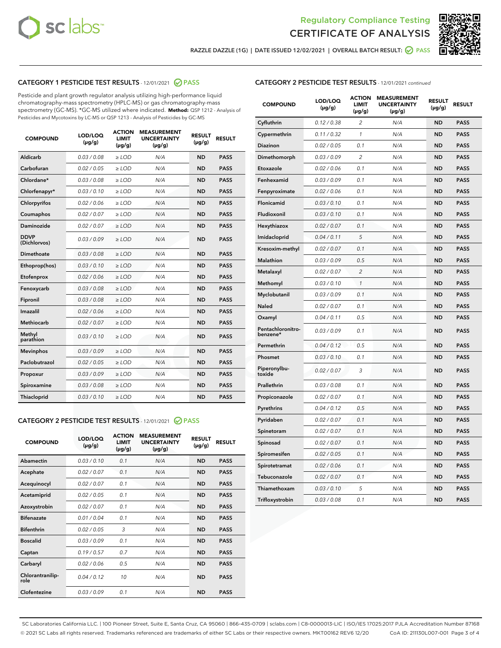



RAZZLE DAZZLE (1G) | DATE ISSUED 12/02/2021 | OVERALL BATCH RESULT:  $\bigcirc$  PASS

# CATEGORY 1 PESTICIDE TEST RESULTS - 12/01/2021 2 PASS

Pesticide and plant growth regulator analysis utilizing high-performance liquid chromatography-mass spectrometry (HPLC-MS) or gas chromatography-mass spectrometry (GC-MS). \*GC-MS utilized where indicated. **Method:** QSP 1212 - Analysis of Pesticides and Mycotoxins by LC-MS or QSP 1213 - Analysis of Pesticides by GC-MS

| <b>COMPOUND</b>             | LOD/LOQ<br>$(\mu g/g)$ | <b>ACTION</b><br><b>LIMIT</b><br>$(\mu g/g)$ | <b>MEASUREMENT</b><br><b>UNCERTAINTY</b><br>$(\mu g/g)$ | <b>RESULT</b><br>$(\mu g/g)$ | <b>RESULT</b> |
|-----------------------------|------------------------|----------------------------------------------|---------------------------------------------------------|------------------------------|---------------|
| Aldicarb                    | 0.03 / 0.08            | $\ge$ LOD                                    | N/A                                                     | <b>ND</b>                    | <b>PASS</b>   |
| Carbofuran                  | 0.02 / 0.05            | $\ge$ LOD                                    | N/A                                                     | <b>ND</b>                    | <b>PASS</b>   |
| Chlordane*                  | 0.03 / 0.08            | $\ge$ LOD                                    | N/A                                                     | <b>ND</b>                    | <b>PASS</b>   |
| Chlorfenapyr*               | 0.03/0.10              | $\ge$ LOD                                    | N/A                                                     | <b>ND</b>                    | <b>PASS</b>   |
| Chlorpyrifos                | 0.02 / 0.06            | $\ge$ LOD                                    | N/A                                                     | <b>ND</b>                    | <b>PASS</b>   |
| Coumaphos                   | 0.02 / 0.07            | $\ge$ LOD                                    | N/A                                                     | <b>ND</b>                    | <b>PASS</b>   |
| Daminozide                  | 0.02 / 0.07            | $\ge$ LOD                                    | N/A                                                     | <b>ND</b>                    | <b>PASS</b>   |
| <b>DDVP</b><br>(Dichlorvos) | 0.03/0.09              | $>$ LOD                                      | N/A                                                     | <b>ND</b>                    | <b>PASS</b>   |
| Dimethoate                  | 0.03 / 0.08            | $\ge$ LOD                                    | N/A                                                     | <b>ND</b>                    | <b>PASS</b>   |
| Ethoprop(hos)               | 0.03/0.10              | $>$ LOD                                      | N/A                                                     | <b>ND</b>                    | <b>PASS</b>   |
| Etofenprox                  | 0.02 / 0.06            | $\ge$ LOD                                    | N/A                                                     | <b>ND</b>                    | <b>PASS</b>   |
| Fenoxycarb                  | 0.03 / 0.08            | $\ge$ LOD                                    | N/A                                                     | <b>ND</b>                    | <b>PASS</b>   |
| Fipronil                    | 0.03/0.08              | $\ge$ LOD                                    | N/A                                                     | <b>ND</b>                    | <b>PASS</b>   |
| Imazalil                    | 0.02 / 0.06            | $\geq$ LOD                                   | N/A                                                     | <b>ND</b>                    | <b>PASS</b>   |
| <b>Methiocarb</b>           | 0.02 / 0.07            | $\ge$ LOD                                    | N/A                                                     | <b>ND</b>                    | <b>PASS</b>   |
| Methyl<br>parathion         | 0.03/0.10              | $\ge$ LOD                                    | N/A                                                     | <b>ND</b>                    | <b>PASS</b>   |
| <b>Mevinphos</b>            | 0.03/0.09              | $\ge$ LOD                                    | N/A                                                     | <b>ND</b>                    | <b>PASS</b>   |
| Paclobutrazol               | 0.02 / 0.05            | $>$ LOD                                      | N/A                                                     | <b>ND</b>                    | <b>PASS</b>   |
| Propoxur                    | 0.03 / 0.09            | $\ge$ LOD                                    | N/A                                                     | <b>ND</b>                    | <b>PASS</b>   |
| Spiroxamine                 | 0.03 / 0.08            | $\ge$ LOD                                    | N/A                                                     | <b>ND</b>                    | <b>PASS</b>   |
| Thiacloprid                 | 0.03/0.10              | $\ge$ LOD                                    | N/A                                                     | <b>ND</b>                    | <b>PASS</b>   |

#### CATEGORY 2 PESTICIDE TEST RESULTS - 12/01/2021 @ PASS

| <b>COMPOUND</b>          | LOD/LOO<br>$(\mu g/g)$ | <b>ACTION</b><br>LIMIT<br>$(\mu g/g)$ | <b>MEASUREMENT</b><br><b>UNCERTAINTY</b><br>$(\mu g/g)$ | <b>RESULT</b><br>$(\mu g/g)$ | <b>RESULT</b> |  |
|--------------------------|------------------------|---------------------------------------|---------------------------------------------------------|------------------------------|---------------|--|
| Abamectin                | 0.03/0.10              | 0.1                                   | N/A                                                     | <b>ND</b>                    | <b>PASS</b>   |  |
| Acephate                 | 0.02/0.07              | 0.1                                   | N/A                                                     | <b>ND</b>                    | <b>PASS</b>   |  |
| Acequinocyl              | 0.02/0.07              | 0.1                                   | N/A                                                     | <b>ND</b>                    | <b>PASS</b>   |  |
| Acetamiprid              | 0.02 / 0.05            | 0.1                                   | N/A                                                     | <b>ND</b>                    | <b>PASS</b>   |  |
| Azoxystrobin             | 0.02/0.07              | 0.1                                   | N/A                                                     | <b>ND</b>                    | <b>PASS</b>   |  |
| <b>Bifenazate</b>        | 0.01 / 0.04            | 0.1                                   | N/A                                                     | <b>ND</b>                    | <b>PASS</b>   |  |
| <b>Bifenthrin</b>        | 0.02 / 0.05            | 3                                     | N/A                                                     | <b>ND</b>                    | <b>PASS</b>   |  |
| <b>Boscalid</b>          | 0.03/0.09              | 0.1                                   | N/A                                                     | <b>ND</b>                    | <b>PASS</b>   |  |
| Captan                   | 0.19/0.57              | 0.7                                   | N/A                                                     | <b>ND</b>                    | <b>PASS</b>   |  |
| Carbaryl                 | 0.02/0.06              | 0.5                                   | N/A                                                     | <b>ND</b>                    | <b>PASS</b>   |  |
| Chlorantranilip-<br>role | 0.04/0.12              | 10                                    | N/A                                                     | <b>ND</b>                    | <b>PASS</b>   |  |
| Clofentezine             | 0.03/0.09              | 0.1                                   | N/A                                                     | <b>ND</b>                    | <b>PASS</b>   |  |

|  | <b>CATEGORY 2 PESTICIDE TEST RESULTS</b> - 12/01/2021 continued |
|--|-----------------------------------------------------------------|
|--|-----------------------------------------------------------------|

| <b>COMPOUND</b>               | LOD/LOQ<br>(µg/g) | <b>ACTION</b><br>LIMIT<br>$(\mu g/g)$ | <b>MEASUREMENT</b><br><b>UNCERTAINTY</b><br>$(\mu g/g)$ | <b>RESULT</b><br>(µg/g) | <b>RESULT</b> |
|-------------------------------|-------------------|---------------------------------------|---------------------------------------------------------|-------------------------|---------------|
| Cyfluthrin                    | 0.12 / 0.38       | $\overline{2}$                        | N/A                                                     | <b>ND</b>               | <b>PASS</b>   |
| Cypermethrin                  | 0.11 / 0.32       | 1                                     | N/A                                                     | <b>ND</b>               | <b>PASS</b>   |
| Diazinon                      | 0.02 / 0.05       | 0.1                                   | N/A                                                     | ND                      | <b>PASS</b>   |
| Dimethomorph                  | 0.03 / 0.09       | $\overline{\mathcal{L}}$              | N/A                                                     | <b>ND</b>               | <b>PASS</b>   |
| Etoxazole                     | 0.02 / 0.06       | 0.1                                   | N/A                                                     | ND                      | <b>PASS</b>   |
| Fenhexamid                    | 0.03 / 0.09       | 0.1                                   | N/A                                                     | ND                      | <b>PASS</b>   |
| Fenpyroximate                 | 0.02 / 0.06       | 0.1                                   | N/A                                                     | <b>ND</b>               | <b>PASS</b>   |
| Flonicamid                    | 0.03 / 0.10       | 0.1                                   | N/A                                                     | ND                      | <b>PASS</b>   |
| Fludioxonil                   | 0.03 / 0.10       | 0.1                                   | N/A                                                     | ND                      | <b>PASS</b>   |
| Hexythiazox                   | 0.02 / 0.07       | 0.1                                   | N/A                                                     | <b>ND</b>               | <b>PASS</b>   |
| Imidacloprid                  | 0.04 / 0.11       | 5                                     | N/A                                                     | ND                      | <b>PASS</b>   |
| Kresoxim-methyl               | 0.02 / 0.07       | 0.1                                   | N/A                                                     | ND                      | <b>PASS</b>   |
| Malathion                     | 0.03 / 0.09       | 0.5                                   | N/A                                                     | <b>ND</b>               | <b>PASS</b>   |
| Metalaxyl                     | 0.02 / 0.07       | $\overline{c}$                        | N/A                                                     | ND                      | <b>PASS</b>   |
| Methomyl                      | 0.03 / 0.10       | $\mathcal{I}$                         | N/A                                                     | ND                      | <b>PASS</b>   |
| Myclobutanil                  | 0.03 / 0.09       | 0.1                                   | N/A                                                     | <b>ND</b>               | <b>PASS</b>   |
| Naled                         | 0.02 / 0.07       | 0.1                                   | N/A                                                     | <b>ND</b>               | <b>PASS</b>   |
| Oxamyl                        | 0.04 / 0.11       | 0.5                                   | N/A                                                     | ND                      | <b>PASS</b>   |
| Pentachloronitro-<br>benzene* | 0.03 / 0.09       | 0.1                                   | N/A                                                     | ND                      | <b>PASS</b>   |
| Permethrin                    | 0.04 / 0.12       | 0.5                                   | N/A                                                     | <b>ND</b>               | <b>PASS</b>   |
| Phosmet                       | 0.03 / 0.10       | 0.1                                   | N/A                                                     | ND                      | <b>PASS</b>   |
| Piperonylbu-<br>toxide        | 0.02 / 0.07       | 3                                     | N/A                                                     | ND                      | <b>PASS</b>   |
| Prallethrin                   | 0.03 / 0.08       | 0.1                                   | N/A                                                     | <b>ND</b>               | <b>PASS</b>   |
| Propiconazole                 | 0.02 / 0.07       | 0.1                                   | N/A                                                     | <b>ND</b>               | <b>PASS</b>   |
| Pyrethrins                    | 0.04 / 0.12       | 0.5                                   | N/A                                                     | ND                      | <b>PASS</b>   |
| Pyridaben                     | 0.02 / 0.07       | 0.1                                   | N/A                                                     | <b>ND</b>               | <b>PASS</b>   |
| Spinetoram                    | 0.02 / 0.07       | 0.1                                   | N/A                                                     | ND                      | <b>PASS</b>   |
| Spinosad                      | 0.02 / 0.07       | 0.1                                   | N/A                                                     | ND                      | <b>PASS</b>   |
| Spiromesifen                  | 0.02 / 0.05       | 0.1                                   | N/A                                                     | <b>ND</b>               | <b>PASS</b>   |
| Spirotetramat                 | 0.02 / 0.06       | 0.1                                   | N/A                                                     | ND                      | <b>PASS</b>   |
| Tebuconazole                  | 0.02 / 0.07       | 0.1                                   | N/A                                                     | ND                      | <b>PASS</b>   |
| Thiamethoxam                  | 0.03 / 0.10       | 5                                     | N/A                                                     | <b>ND</b>               | <b>PASS</b>   |
| Trifloxystrobin               | 0.03 / 0.08       | 0.1                                   | N/A                                                     | <b>ND</b>               | <b>PASS</b>   |

SC Laboratories California LLC. | 100 Pioneer Street, Suite E, Santa Cruz, CA 95060 | 866-435-0709 | sclabs.com | C8-0000013-LIC | ISO/IES 17025:2017 PJLA Accreditation Number 87168 © 2021 SC Labs all rights reserved. Trademarks referenced are trademarks of either SC Labs or their respective owners. MKT00162 REV6 12/20 CoA ID: 211130L007-001 Page 3 of 4